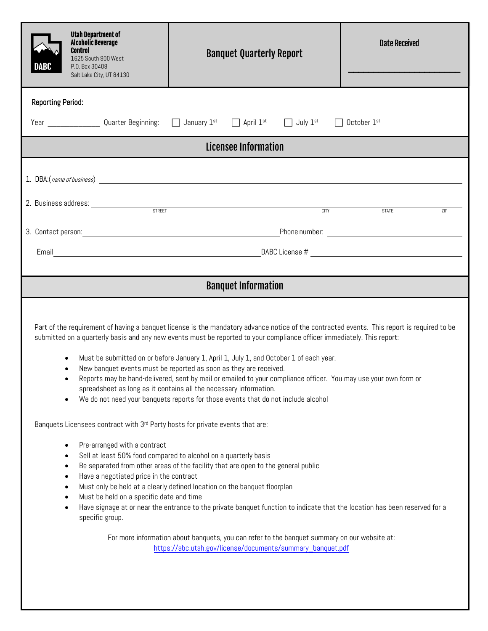| <b>Utah Department of</b><br><b>Alcoholic Beverage</b><br><b>Control</b><br>1625 South 900 West<br>DABC<br>P.O. Box 30408<br>Salt Lake City, UT 84130                                                                                                                                                                                                                                        | <b>Banquet Quarterly Report</b>                                                                                                                                                                                                                                                                                                                                                                                                                                                                                                                                                                                                                                                                                                                                                                                                                                                                                                                                                                                                                                                                                                                                                 | <b>Date Received</b> |  |
|----------------------------------------------------------------------------------------------------------------------------------------------------------------------------------------------------------------------------------------------------------------------------------------------------------------------------------------------------------------------------------------------|---------------------------------------------------------------------------------------------------------------------------------------------------------------------------------------------------------------------------------------------------------------------------------------------------------------------------------------------------------------------------------------------------------------------------------------------------------------------------------------------------------------------------------------------------------------------------------------------------------------------------------------------------------------------------------------------------------------------------------------------------------------------------------------------------------------------------------------------------------------------------------------------------------------------------------------------------------------------------------------------------------------------------------------------------------------------------------------------------------------------------------------------------------------------------------|----------------------|--|
| <b>Reporting Period:</b>                                                                                                                                                                                                                                                                                                                                                                     |                                                                                                                                                                                                                                                                                                                                                                                                                                                                                                                                                                                                                                                                                                                                                                                                                                                                                                                                                                                                                                                                                                                                                                                 |                      |  |
| Year ______________Quarter Beginning: □ January 1 <sup>st</sup> □ April 1 <sup>st</sup> □ July 1 <sup>st</sup><br>October 1st                                                                                                                                                                                                                                                                |                                                                                                                                                                                                                                                                                                                                                                                                                                                                                                                                                                                                                                                                                                                                                                                                                                                                                                                                                                                                                                                                                                                                                                                 |                      |  |
| Licensee Information                                                                                                                                                                                                                                                                                                                                                                         |                                                                                                                                                                                                                                                                                                                                                                                                                                                                                                                                                                                                                                                                                                                                                                                                                                                                                                                                                                                                                                                                                                                                                                                 |                      |  |
|                                                                                                                                                                                                                                                                                                                                                                                              |                                                                                                                                                                                                                                                                                                                                                                                                                                                                                                                                                                                                                                                                                                                                                                                                                                                                                                                                                                                                                                                                                                                                                                                 |                      |  |
| 2. Business address: <u>street and the street and the street and the street and the street and the street and the street and the street and the street and the street and the street and the street and the street and the stree</u>                                                                                                                                                         | <b>CITY</b>                                                                                                                                                                                                                                                                                                                                                                                                                                                                                                                                                                                                                                                                                                                                                                                                                                                                                                                                                                                                                                                                                                                                                                     | <b>STATE</b><br>7IP  |  |
|                                                                                                                                                                                                                                                                                                                                                                                              |                                                                                                                                                                                                                                                                                                                                                                                                                                                                                                                                                                                                                                                                                                                                                                                                                                                                                                                                                                                                                                                                                                                                                                                 |                      |  |
|                                                                                                                                                                                                                                                                                                                                                                                              |                                                                                                                                                                                                                                                                                                                                                                                                                                                                                                                                                                                                                                                                                                                                                                                                                                                                                                                                                                                                                                                                                                                                                                                 |                      |  |
| <b>Banquet Information</b>                                                                                                                                                                                                                                                                                                                                                                   |                                                                                                                                                                                                                                                                                                                                                                                                                                                                                                                                                                                                                                                                                                                                                                                                                                                                                                                                                                                                                                                                                                                                                                                 |                      |  |
| $\bullet$<br>$\bullet$<br>$\bullet$<br>Banquets Licensees contract with 3rd Party hosts for private events that are:<br>Pre-arranged with a contract<br>$\bullet$<br>Sell at least 50% food compared to alcohol on a quarterly basis<br>٠<br>٠<br>Have a negotiated price in the contract<br>٠<br>$\bullet$<br>Must be held on a specific date and time<br>٠<br>$\bullet$<br>specific group. | Part of the requirement of having a banquet license is the mandatory advance notice of the contracted events. This report is required to be<br>submitted on a quarterly basis and any new events must be reported to your compliance officer immediately. This report:<br>Must be submitted on or before January 1, April 1, July 1, and October 1 of each year.<br>New banquet events must be reported as soon as they are received.<br>Reports may be hand-delivered, sent by mail or emailed to your compliance officer. You may use your own form or<br>spreadsheet as long as it contains all the necessary information.<br>We do not need your banquets reports for those events that do not include alcohol<br>Be separated from other areas of the facility that are open to the general public<br>Must only be held at a clearly defined location on the banquet floorplan<br>Have signage at or near the entrance to the private banquet function to indicate that the location has been reserved for a<br>For more information about banquets, you can refer to the banquet summary on our website at:<br>https://abc.utah.gov/license/documents/summary_banquet.pdf |                      |  |